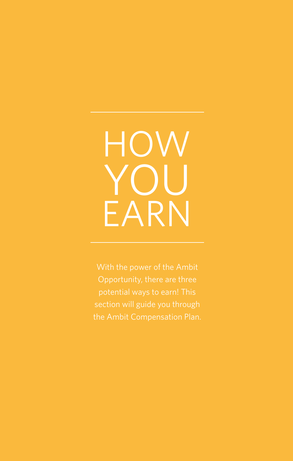# **HOW** YOU EARN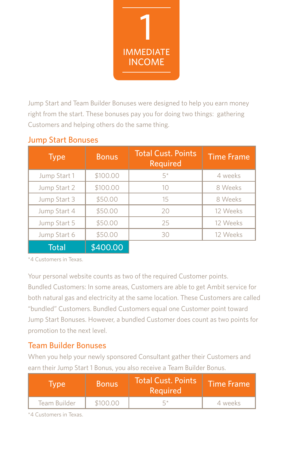

Jump Start and Team Builder Bonuses were designed to help you earn money right from the start. These bonuses pay you for doing two things: gathering Customers and helping others do the same thing.

| <b>Type</b>  | <b>Bonus</b> | <b>Total Cust. Points</b><br>Required | <b>Time Frame</b> |
|--------------|--------------|---------------------------------------|-------------------|
| Jump Start 1 | \$100.00     | $5*$                                  | 4 weeks           |
| Jump Start 2 | \$100.00     | 10                                    | 8 Weeks           |
| Jump Start 3 | \$50.00      | 15                                    | 8 Weeks           |
| Jump Start 4 | \$50.00      | 20                                    | 12 Weeks          |
| Jump Start 5 | \$50.00      | 25                                    | 12 Weeks          |
| Jump Start 6 | \$50.00      | 30                                    | 12 Weeks          |
| Total        | \$400.00     |                                       |                   |

#### Jump Start Bonuses

\*4 Customers in Texas.

Your personal website counts as two of the required Customer points. Bundled Customers: In some areas, Customers are able to get Ambit service for both natural gas and electricity at the same location. These Customers are called "bundled" Customers. Bundled Customers equal one Customer point toward Jump Start Bonuses. However, a bundled Customer does count as two points for promotion to the next level.

#### Team Builder Bonuses

When you help your newly sponsored Consultant gather their Customers and earn their Jump Start 1 Bonus, you also receive a Team Builder Bonus.

| <b>Tvpe</b>  | <b>Bonus</b> | <b>Total Cust. Points</b><br>Required | Time Frame |
|--------------|--------------|---------------------------------------|------------|
| Team Builder | \$100.00     | ц∗                                    | 4 weeks    |

\*4 Customers in Texas.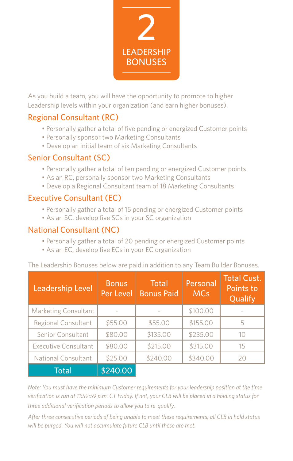

As you build a team, you will have the opportunity to promote to higher Leadership levels within your organization (and earn higher bonuses).

## Regional Consultant (RC)

- Personally gather a total of five pending or energized Customer points
- Personally sponsor two Marketing Consultants
- Develop an initial team of six Marketing Consultants

#### Senior Consultant (SC)

- Personally gather a total of ten pending or energized Customer points
- As an RC, personally sponsor two Marketing Consultants
- Develop a Regional Consultant team of 18 Marketing Consultants

#### Executive Consultant (EC)

- Personally gather a total of 15 pending or energized Customer points
- As an SC, develop five SCs in your SC organization

#### National Consultant (NC)

- Personally gather a total of 20 pending or energized Customer points
- As an EC, develop five ECs in your EC organization

The Leadership Bonuses below are paid in addition to any Team Builder Bonuses.

| <b>Leadership Level</b>     | <b>Bonus</b><br>Per Level | Total<br><b>Bonus Paid</b> | Personal<br><b>MCs</b> | <b>Total Cust.</b><br>Points to<br>Qualify |
|-----------------------------|---------------------------|----------------------------|------------------------|--------------------------------------------|
| <b>Marketing Consultant</b> |                           |                            | \$100.00               |                                            |
| <b>Regional Consultant</b>  | \$55.00                   | \$55.00                    | \$155.00               | 5                                          |
| Senior Consultant           | \$80.00                   | \$135.00                   | \$235.00               | 10                                         |
| <b>Executive Consultant</b> | \$80.00                   | \$215.00                   | \$315.00               | 15                                         |
| <b>National Consultant</b>  | \$25.00                   | \$240.00                   | \$340.00               | 20                                         |
| Total                       | \$240.00                  |                            |                        |                                            |

*Note: You must have the minimum Customer requirements for your leadership position at the time verification is run at 11:59:59 p.m. CT Friday. If not, your CLB will be placed in a holding status for three additional verification periods to allow you to re-qualify.*

*After three consecutive periods of being unable to meet these requirements, all CLB in hold status will be purged. You will not accumulate future CLB until these are met.*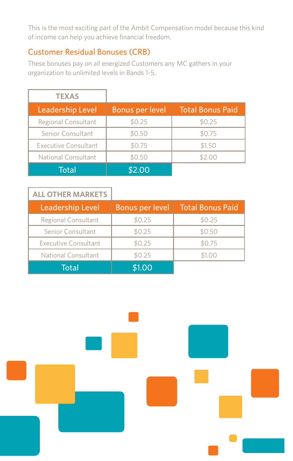This is the most exciting part of the Ambit Compensation model because this kind of income can help you achieve financial freedom.

## Customer Residual Bonuses (CRB)

These bonuses pay on all energized Customers any MC gathers in your organization to unlimited levels in Bands 1-5.

| <b>TEXAS</b>            |                 |                         |
|-------------------------|-----------------|-------------------------|
| <b>Leadership Level</b> | Bonus per level | <b>Total Bonus Paid</b> |
| Regional Consultant     | \$0.25          | \$0.25                  |
| Senior Consultant       | \$0.50          | \$0.75                  |
| Executive Consultant    | \$0.75          | \$1.50                  |
| National Consultant     | \$0.50          | \$2.00                  |
| Total                   | \$2.00          |                         |

| <b>ALL OTHER MARKETS</b>    |                 |                         |
|-----------------------------|-----------------|-------------------------|
| Leadership Level            | Bonus per level | <b>Total Bonus Paid</b> |
| Regional Consultant         | \$0.25          | \$0.25                  |
| Senior Consultant           | \$0.25          | \$0.50                  |
| <b>Executive Consultant</b> | \$0.25          | \$0.75                  |
| National Consultant         | \$0.25          | \$1.00                  |
| Total                       | \$1.00          |                         |

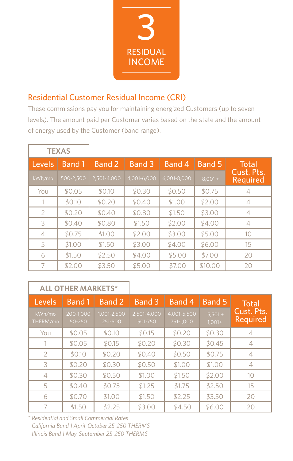

## Residential Customer Residual Income (CRI)

These commissions pay you for maintaining energized Customers (up to seven levels). The amount paid per Customer varies based on the state and the amount of energy used by the Customer (band range).

|                | <b>TEXAS</b> |             |               |             |               |                        |
|----------------|--------------|-------------|---------------|-------------|---------------|------------------------|
| Levels         | Band 1       | Band 2      | <b>Band 3</b> | Band 4      | <b>Band 5</b> | Total                  |
| kWh/mo         | 500-2.500    | 2,501-4,000 | 4.001-6.000   | 6,001-8,000 | $8,001 +$     | Cust. Pts.<br>Required |
| You            | \$0.05       | \$0.10      | \$0.30        | \$0.50      | \$0.75        | $\overline{4}$         |
| 1              | \$0.10       | \$0.20      | \$0.40        | \$1.00      | \$2.00        | $\overline{4}$         |
| 2              | \$0.20       | \$0.40      | \$0.80        | \$1.50      | \$3.00        | $\overline{4}$         |
| 3              | \$0.40       | \$0.80      | \$1.50        | \$2.00      | \$4.00        | $\overline{4}$         |
| $\overline{4}$ | \$0.75       | \$1.00      | \$2.00        | \$3.00      | \$5.00        | 10                     |
| 5              | \$1.00       | \$1.50      | \$3.00        | \$4.00      | \$6.00        | 15                     |
| 6              | \$1.50       | \$2.50      | \$4.00        | \$5.00      | \$7.00        | 20                     |
| 7              | \$2.00       | \$3.50      | \$5.00        | \$7.00      | \$10.00       | 20                     |

|                    | <b>ALL OTHER MARKETS*</b> |                        |                        |                          |                       |                        |
|--------------------|---------------------------|------------------------|------------------------|--------------------------|-----------------------|------------------------|
| Levels             | <b>Band 1</b>             | Band 2                 | Band 3                 | Band 4                   | <b>Band 5</b>         | <b>Total</b>           |
| kWh/mo<br>THERM/mo | 200-1,000<br>50-250       | 1,001-2,500<br>251-500 | 2,501-4,000<br>501-750 | 4,001-5,500<br>751-1,000 | $5,501 +$<br>$1,001+$ | Cust. Pts.<br>Required |
| You                | \$0.05                    | \$0.10                 | \$0.15                 | \$0.20                   | \$0.30                | 4                      |
|                    | \$0.05                    | \$0.15                 | \$0.20                 | \$0.30                   | \$0.45                | 4                      |
| $\mathcal{L}$      | \$0.10                    | \$0.20                 | \$0.40                 | \$0.50                   | \$0.75                | 4                      |
| 3                  | \$0.20                    | \$0.30                 | \$0.50                 | \$1.00                   | \$1.00                | 4                      |
| $\overline{4}$     | \$0.30                    | \$0.50                 | \$1.00                 | \$1.50                   | \$2.00                | 10                     |
| 5                  | \$0.40                    | \$0.75                 | \$1.25                 | \$1.75                   | \$2.50                | 15                     |
| 6                  | \$0.70                    | \$1.00                 | \$1.50                 | \$2.25                   | \$3.50                | 20                     |
|                    | \$1.50                    | \$2.25                 | \$3.00                 | \$4.50                   | \$6.00                | 20                     |

*\* Residential and Small Commercial Rates California Band 1 April-October 25-250 THERMS Illinois Band 1 May-September 25-250 THERMS*